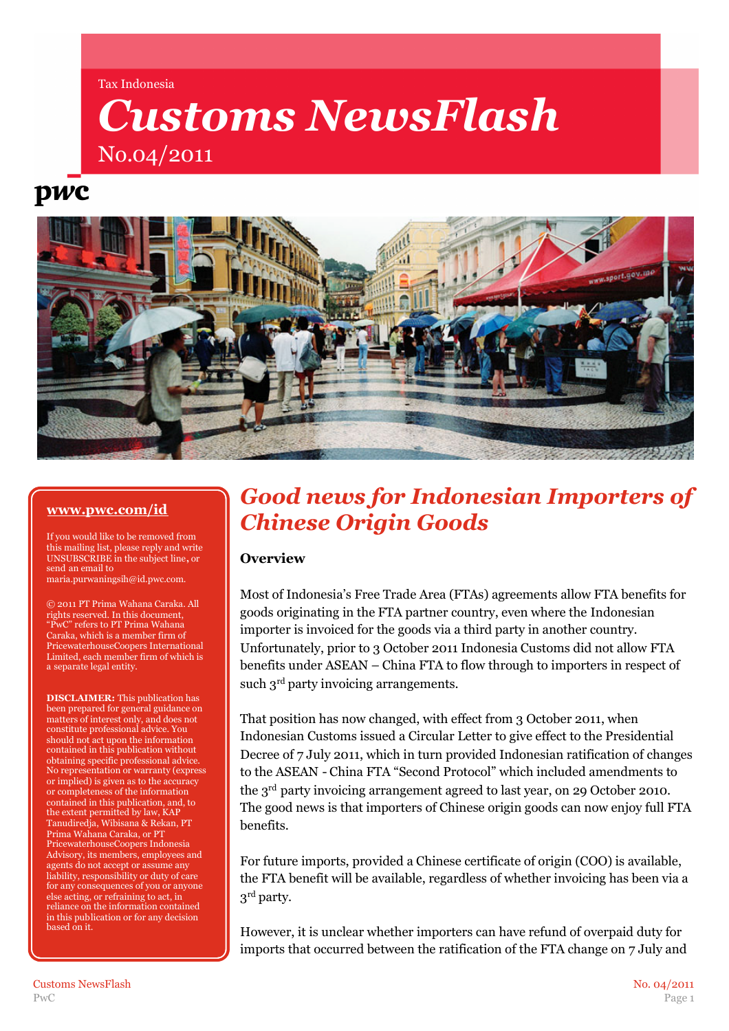#### Tax Indonesia

# *Customs NewsFlash* No.04/2011

# pwc



### **[www.pwc.com/id](http://www.pwc.com/id)**

If you would like to be removed from this mailing list, please reply and write UNSUBSCRIBE in the subject line**,** or send an email to maria.purwaningsih@id.pwc.com.

© 2011 PT Prima Wahana Caraka. All rights reserved. In this document, "PwC" refers to PT Prima Wahana Caraka, which is a member firm of PricewaterhouseCoopers International Limited, each member firm of which is a separate legal entity.

**DISCLAIMER:** This publication has been prepared for general guidance on matters of interest only, and does not constitute professional advice. You should not act upon the information contained in this publication without obtaining specific professional advice. No representation or warranty (express or implied) is given as to the accuracy or completeness of the information contained in this publication, and, to the extent permitted by law, KAP Tanudiredja, Wibisana & Rekan, PT Prima Wahana Caraka, or PT PricewaterhouseCoopers Indonesia Advisory, its members, employees and agents do not accept or assume any liability, responsibility or duty of care for any consequences of you or anyone else acting, or refraining to act, in reliance on the information contained in this publication or for any decision based on it.

## *Good news for Indonesian Importers of Chinese Origin Goods*

### **Overview**

Most of Indonesia's Free Trade Area (FTAs) agreements allow FTA benefits for goods originating in the FTA partner country, even where the Indonesian importer is invoiced for the goods via a third party in another country. Unfortunately, prior to 3 October 2011 Indonesia Customs did not allow FTA benefits under ASEAN – China FTA to flow through to importers in respect of such 3<sup>rd</sup> party invoicing arrangements.

That position has now changed, with effect from 3 October 2011, when Indonesian Customs issued a Circular Letter to give effect to the Presidential Decree of 7 July 2011, which in turn provided Indonesian ratification of changes to the ASEAN - China FTA "Second Protocol" which included amendments to the 3rd party invoicing arrangement agreed to last year, on 29 October 2010. The good news is that importers of Chinese origin goods can now enjoy full FTA benefits.

For future imports, provided a Chinese certificate of origin (COO) is available, the FTA benefit will be available, regardless of whether invoicing has been via a  $3^{\rm rd}$  party.

However, it is unclear whether importers can have refund of overpaid duty for imports that occurred between the ratification of the FTA change on 7 July and